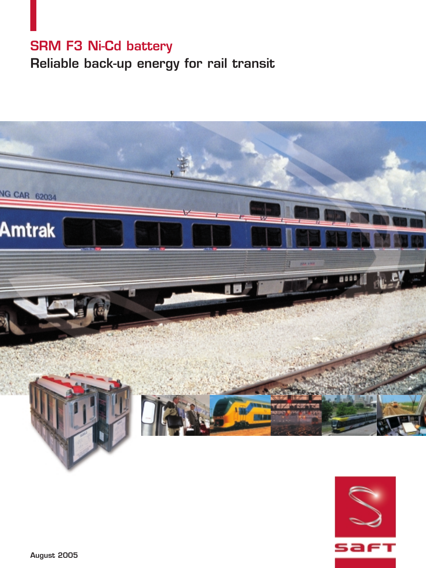## **SRM F3 Ni-Cd battery Reliable back-up energy for rail transit**



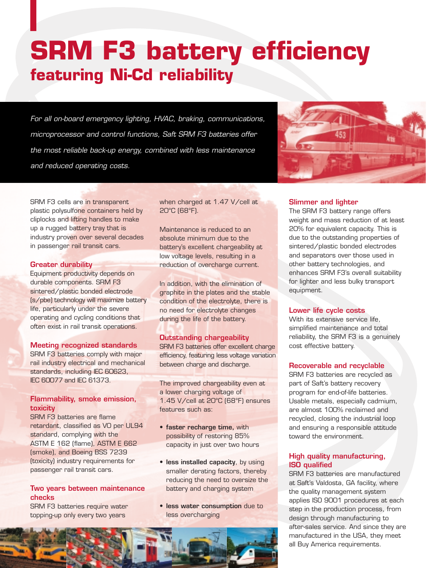## **SRM F3 battery efficiency featuring Ni-Cd reliability**

*For all on-board emergency lighting, HVAC, braking, communications, microprocessor and control functions, Saft SRM F3 batteries offer the most reliable back-up energy, combined with less maintenance and reduced operating costs.*



SRM F3 cells are in transparent plastic polysulfone containers held by cliplocks and lifting handles to make up a rugged battery tray that is industry proven over several decades in passenger rail transit cars.

## **Greater durability**

Equipment productivity depends on durable components. SRM F3 sintered/plastic bonded electrode (s/pbe) technology will maximize battery life, particularly under the severe operating and cycling conditions that often exist in rail transit operations.

## **Meeting recognized standards**

SRM F3 batteries comply with major rail industry electrical and mechanical standards, including IEC 60623, IEC 60077 and IEC 61373.

## **Flammability, smoke emission, toxicity**

SRM F3 batteries are flame retardant, classified as V0 per UL94 standard, complying with the ASTM E 162 (flame), ASTM E 662 (smoke), and Boeing BSS 7239 (toxicity) industry requirements for passenger rail transit cars.

## **Two years between maintenance checks**

SRM F3 batteries require water topping-up only every two years

when charged at 1.47 V/cell at 20°C (68°F).

Maintenance is reduced to an absolute minimum due to the battery's excellent chargeability at low voltage levels, resulting in a reduction of overcharge current.

In addition, with the elimination of graphite in the plates and the stable condition of the electrolyte, there is no need for electrolyte changes during the life of the battery.

## **Outstanding chargeability**

SRM F3 batteries offer excellent charge efficiency, featuring less voltage variation between charge and discharge.

The improved chargeability even at a lower charging voltage of 1.45 V/cell at 20°C (68°F) ensures features such as:

- **faster recharge time,** with possibility of restoring 85% capacity in just over two hours
- **less installed capacity**, by using smaller derating factors, thereby reducing the need to oversize the battery and charging system
- **less water consumption** due to less overcharging



## **Slimmer and lighter**

The SRM F3 battery range offers weight and mass reduction of at least 20% for equivalent capacity. This is due to the outstanding properties of sintered/plastic bonded electrodes and separators over those used in other battery technologies, and enhances SRM F3's overall suitability for lighter and less bulky transport equipment.

## **Lower life cycle costs**

With its extensive service life, simplified maintenance and total reliability, the SRM F3 is a genuinely cost effective battery.

## **Recoverable and recyclable**

SRM F3 batteries are recycled as part of Saft's battery recovery program for end-of-life batteries. Usable metals, especially cadmium, are almost 100% reclaimed and recycled, closing the industrial loop and ensuring a responsible attitude toward the environment.

## **High quality manufacturing, ISO qualified**

SRM F3 batteries are manufactured at Saft's Valdosta, GA facility, where the quality management system applies ISO 9001 procedures at each step in the production process, from design through manufacturing to after-sales service. And since they are manufactured in the USA, they meet all Buy America requirements.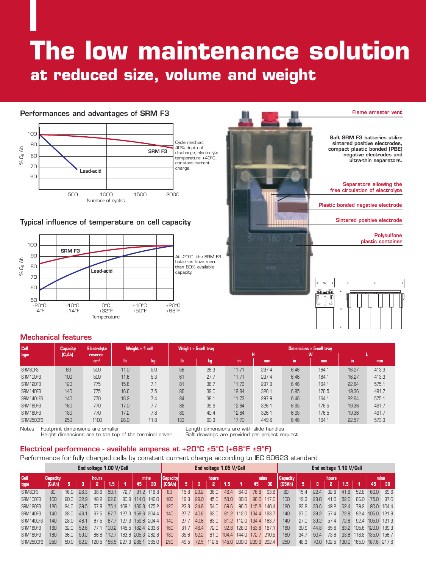# **The low maintenance solution at reduced size, volume and weight**

## **Performances and advantages of SRM F3**



## **Typical influence of temperature on cell capacity**





#### **Mechanical features**

| <b>Cell</b><br>type | Capacity<br>$(C_5$ Ah) | <b>Electrolyte</b><br>reserve<br>cm <sup>3</sup> |      | Weight - 1 cell |           | Weight - 5-cell tray | Dimensions - 5-cell tray<br>н<br>W |       |      |       |       |       |  |  |  |  |
|---------------------|------------------------|--------------------------------------------------|------|-----------------|-----------|----------------------|------------------------------------|-------|------|-------|-------|-------|--|--|--|--|
|                     |                        |                                                  | lb   | kg              | <b>lb</b> | kg                   | in.                                | mm    | in.  | mm    | in.   | mm    |  |  |  |  |
| SRM80F3             | 80                     | 500                                              | 11.0 | 5.0             | 58        | 26.3                 | 11.71                              | 297.4 | 6.46 | 164.1 | 16.27 | 413.3 |  |  |  |  |
| <b>SRM100F3</b>     | 100                    | 500                                              | 11.6 | 5.3             | 61        | 27.7                 | 11.71                              | 297.4 | 6.46 | 164.1 | 16.27 | 413.3 |  |  |  |  |
| <b>SRM120F3</b>     | 120                    | 775                                              | 15.6 | 7.1             | 81        | 36.7                 | 11.73                              | 297.9 | 6.46 | 164.1 | 22.64 | 575.1 |  |  |  |  |
| <b>SRM140F3</b>     | 140                    | 775                                              | 16.6 | 7.5             | 86        | 39.0                 | 12.84                              | 326.1 | 6.95 | 176.5 | 19.36 | 491.7 |  |  |  |  |
| SRM140LF3           | 140                    | 770                                              | 16.2 | 7.4             | 84        | 38.1                 | 11.73                              | 297.9 | 6.46 | 164.1 | 22.64 | 575.1 |  |  |  |  |
| <b>SRM160F3</b>     | 160                    | 770                                              | 17.0 | 7.7             | 88        | 39.9                 | 12.84                              | 326.1 | 6.95 | 176.5 | 19.36 | 491.7 |  |  |  |  |
| <b>SRM180F3</b>     | 180                    | 770                                              | 17.2 | 7.8             | 89        | 40.4                 | 12.84                              | 326.1 | 6.95 | 176.5 | 19.36 | 491.7 |  |  |  |  |
| SRM250CF3           | 250                    | 1100                                             | 26.0 | 11.8            | 133       | 60.3                 | 17.70                              | 449.6 | 6.46 | 164.1 | 22.57 | 573.3 |  |  |  |  |

Notes: Footprint dimensions are smaller and the terminal cover<br>Height dimensions are to the top of the terminal cover and the datit drawings are provided per project request Height dimensions are to the top of the terminal cover Safety dimensions are to the top of the terminal cover

## **Electrical performance - available amperes at +20°C ±5°C (+68°F ±9°F)**

#### Performance for fully charged cells by constant current charge according to IEC 60623 standard

|                 | End voltage 1.00 V/Cell |      |      |      |       |                         |                 |       | End voltage 1.05 V/Cell |            |      |       |      |                         |                 |       |        | End voltage 1.10 V/Cell |                 |      |       |       |                   |            |  |
|-----------------|-------------------------|------|------|------|-------|-------------------------|-----------------|-------|-------------------------|------------|------|-------|------|-------------------------|-----------------|-------|--------|-------------------------|-----------------|------|-------|-------|-------------------|------------|--|
| Cell            | Capacity <br>hours      |      |      |      | mins  |                         | <b>Capacity</b> |       | hours                   |            |      |       | mins |                         | <b>Capacity</b> | hours |        |                         |                 |      | mins  |       |                   |            |  |
| type            | $(C_5Ah)$               | 5    | -3   | 2    | 1.5   |                         | 45              | 30    | (C5Ah)                  | 5          | 3    | 12    | 1.5  | 747                     | 45              | 30    | (C5Ah) | 5.                      | -3              | 2    | 1.5   | - 1   | 45                | 30         |  |
| SRM80F3         | 80                      | 16.0 | 26.3 | 38.6 | 50.1  | 72 7                    | 91.2            | 116.8 | 80                      | 15.8       | 23.2 | 36.0  | 46.4 | 64.0                    | 76.8            | 93.6  | 80     | 15.4                    | 22.4            | 32.8 | 41.6  | 52.8  | 60.0              | 69.6       |  |
| <b>SRM100F3</b> | 100                     | 20.0 | 32.9 | 48.2 | 62.6  | 90.9                    | 114.0           | 146.0 | 100                     | 19.8       | 29.0 | 45.0  | 58.0 | 80.0                    | 96.0            | 117.0 | 100    | 19.3                    | 28.0            | 41.0 | 52.0  | 66.0  | 75.0              | 87.0       |  |
| <b>SRM120F3</b> | 120                     | 24.0 | 39.5 | 57.8 | 75.1  | 109.1                   | 136.8           | 175.2 | 120                     | 23.8       | 34.8 | 54.0  | 69.6 |                         | 96.0 115.2      | 140.4 | 120    | 23.2                    | 33.6            | 49.2 | 62.4  | 79.2  |                   | 90.0 104.4 |  |
| <b>SRM140F3</b> | 140                     | 28.0 | 46.1 | 67.5 | 87.7  | 127.3 159.6 204.4       |                 |       | 140                     | 277        | 40.6 | 63.0  |      | 81.2 112.0 134.4        |                 | 163.7 | 140    | 27.0                    | 39.2            | 57.4 | 72.8  |       | 92.4 105.0 121.9  |            |  |
| SRM140LF3       | 140                     | 28.0 | 46.1 | 67.5 | 87.7  | 127.3 159.6 204.4       |                 |       | 14 <sub>0</sub>         | <b>277</b> | 40.6 | 63.0  |      | 81.2 112.0 134.4        |                 | 163.7 | 140    | 27n                     | 39 <sub>2</sub> | 57.4 | 72.8  |       | 92.4 105.0 121.9  |            |  |
| <b>SRM160F3</b> | 160                     | 32.0 | 52.6 | 771  | 100.2 | 145.5 182.4 233.6       |                 |       | 160                     | 317        | 464  | 72.0  |      | 92.8 128.0 153.6        |                 | 187.1 | 160    | 30.9                    | 44.8            | 65.6 | 83.2  | 1056  | 120.0 139.3       |            |  |
| <b>SRM180F3</b> | 180                     | 36.0 | 59.2 | 86.8 | 112.7 | 163.6 205.3 262.8       |                 |       | 180                     | 35.6       | 52.2 | 81.0  |      | 104.4 144.0 172.7 210.5 |                 |       | 180    | 34.7                    | 50.4            | 73.8 | 93.6  | 118.8 | 135.0 156.7       |            |  |
| SRM250CF3       | 250                     | 50.0 | 82.2 |      |       | 120.5 156.5 227.3 285.1 |                 | 365.0 | 250                     | 49.5       | 72.5 | 112.5 |      | 145.0 200.0 239.9 292.4 |                 |       | 250    | 48.3                    | 70 N            | 1025 | 130.0 |       | 165.0 187.6 217.6 |            |  |